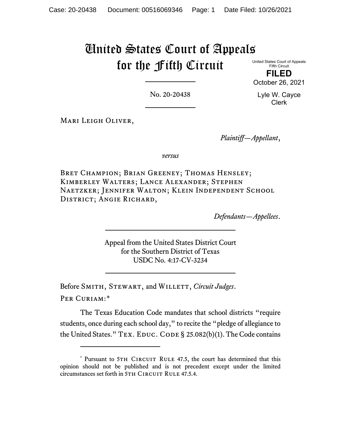## United States Court of Appeals for the Fifth Circuit

United States Court of Appeals Fifth Circuit

**FILED** October 26, 2021

No. 20-20438

Lyle W. Cayce Clerk

Mari Leigh Oliver,

*Plaintiff—Appellant*,

*versus*

BRET CHAMPION; BRIAN GREENEY; THOMAS HENSLEY; Kimberley Walters; Lance Alexander; Stephen Naetzker; Jennifer Walton; Klein Independent School DISTRICT; ANGIE RICHARD,

*Defendants—Appellees*.

Appeal from the United States District Court for the Southern District of Texas USDC No. 4:17-CV-3234

Before SMITH, STEWART, and WILLETT, *Circuit Judges*. Per Curiam:[\\*](#page-0-0)

The Texas Education Code mandates that school districts "require students, once during each school day," to recite the "pledge of allegiance to the United States."  $Tex.$  EDUC. CODE § 25.082(b)(1). The Code contains

<span id="page-0-0"></span><sup>\*</sup> Pursuant to 5TH CIRCUIT RULE 47.5, the court has determined that this opinion should not be published and is not precedent except under the limited circumstances set forth in 5TH CIRCUIT RULE 47.5.4.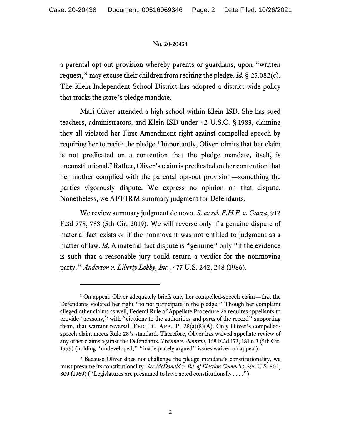## No. 20-20438

a parental opt-out provision whereby parents or guardians, upon "written request," may excuse their children from reciting the pledge. *Id.* § 25.082(c). The Klein Independent School District has adopted a district-wide policy that tracks the state's pledge mandate.

Mari Oliver attended a high school within Klein ISD. She has sued teachers, administrators, and Klein ISD under 42 U.S.C. § 1983, claiming they all violated her First Amendment right against compelled speech by requiring her to recite the pledge.<sup>[1](#page-1-0)</sup> Importantly, Oliver admits that her claim is not predicated on a contention that the pledge mandate, itself, is unconstitutional.[2](#page-1-1) Rather, Oliver's claim is predicated on her contention that her mother complied with the parental opt-out provision—something the parties vigorously dispute. We express no opinion on that dispute. Nonetheless, we AFFIRM summary judgment for Defendants.

We review summary judgment de novo. *S. ex rel. E.H.F. v. Garza*, 912 F.3d 778, 783 (5th Cir. 2019). We will reverse only if a genuine dispute of material fact exists or if the nonmovant was not entitled to judgment as a matter of law. *Id.* A material-fact dispute is "genuine" only "if the evidence is such that a reasonable jury could return a verdict for the nonmoving party." *Anderson v. Liberty Lobby, Inc.*, 477 U.S. 242, 248 (1986).

<span id="page-1-0"></span><sup>&</sup>lt;sup>1</sup> On appeal, Oliver adequately briefs only her compelled-speech claim—that the Defendants violated her right "to not participate in the pledge." Though her complaint alleged other claims as well, Federal Rule of Appellate Procedure 28 requires appellants to provide "reasons," with "citations to the authorities and parts of the record" supporting them, that warrant reversal. FED. R. APP. P.  $28(a)(8)(A)$ . Only Oliver's compelledspeech claim meets Rule 28's standard. Therefore, Oliver has waived appellate review of any other claims against the Defendants. *Trevino v. Johnson*, 168 F.3d 173, 181 n.3 (5th Cir. 1999) (holding "undeveloped," "inadequately argued" issues waived on appeal).

<span id="page-1-1"></span><sup>2</sup> Because Oliver does not challenge the pledge mandate's constitutionality, we must presume its constitutionality. *See McDonald v. Bd. of Election Comm'rs*, 394 U.S. 802, 809 (1969) ("Legislatures are presumed to have acted constitutionally . . . .").